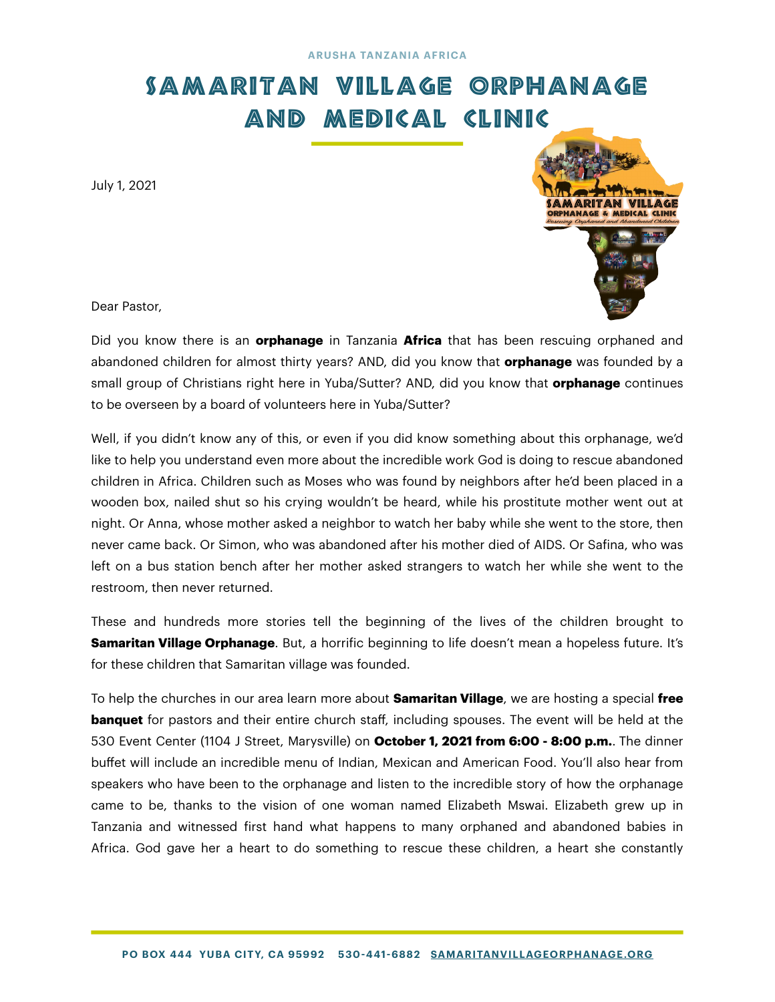## SAMARITAN VILLAGE ORPHANAGE AND MEDICAL CLINIC

July 1, 2021



Dear Pastor,

Did you know there is an **orphanage** in Tanzania **Africa** that has been rescuing orphaned and abandoned children for almost thirty years? AND, did you know that **orphanage** was founded by a small group of Christians right here in Yuba/Sutter? AND, did you know that **orphanage** continues to be overseen by a board of volunteers here in Yuba/Sutter?

Well, if you didn't know any of this, or even if you did know something about this orphanage, we'd like to help you understand even more about the incredible work God is doing to rescue abandoned children in Africa. Children such as Moses who was found by neighbors after he'd been placed in a wooden box, nailed shut so his crying wouldn't be heard, while his prostitute mother went out at night. Or Anna, whose mother asked a neighbor to watch her baby while she went to the store, then never came back. Or Simon, who was abandoned after his mother died of AIDS. Or Safina, who was left on a bus station bench after her mother asked strangers to watch her while she went to the restroom, then never returned.

These and hundreds more stories tell the beginning of the lives of the children brought to **Samaritan Village Orphanage**. But, a horrific beginning to life doesn't mean a hopeless future. It's for these children that Samaritan village was founded.

To help the churches in our area learn more about **Samaritan Village**, we are hosting a special **free banquet** for pastors and their entire church staff, including spouses. The event will be held at the 530 Event Center (1104 J Street, Marysville) on **October 1, 2021 from 6:00 - 8:00 p.m.**. The dinner buffet will include an incredible menu of Indian, Mexican and American Food. You'll also hear from speakers who have been to the orphanage and listen to the incredible story of how the orphanage came to be, thanks to the vision of one woman named Elizabeth Mswai. Elizabeth grew up in Tanzania and witnessed first hand what happens to many orphaned and abandoned babies in Africa. God gave her a heart to do something to rescue these children, a heart she constantly